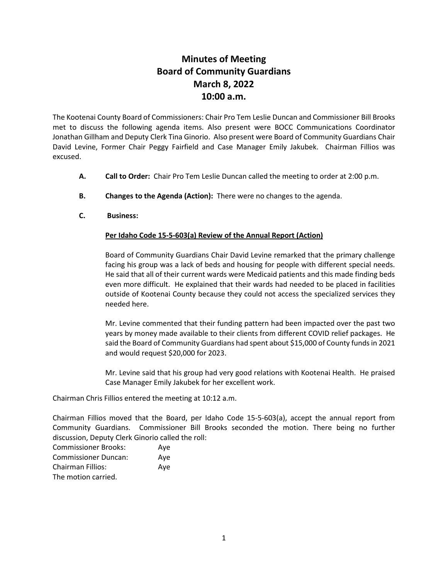## **Minutes of Meeting Board of Community Guardians March 8, 2022 10:00 a.m.**

The Kootenai County Board of Commissioners: Chair Pro Tem Leslie Duncan and Commissioner Bill Brooks met to discuss the following agenda items. Also present were BOCC Communications Coordinator Jonathan Gillham and Deputy Clerk Tina Ginorio. Also present were Board of Community Guardians Chair David Levine, Former Chair Peggy Fairfield and Case Manager Emily Jakubek. Chairman Fillios was excused.

- **A. Call to Order:** Chair Pro Tem Leslie Duncan called the meeting to order at 2:00 p.m.
- **B. Changes to the Agenda (Action):** There were no changes to the agenda.
- **C. Business:**

## **Per Idaho Code 15-5-603(a) Review of the Annual Report (Action)**

Board of Community Guardians Chair David Levine remarked that the primary challenge facing his group was a lack of beds and housing for people with different special needs. He said that all of their current wards were Medicaid patients and this made finding beds even more difficult. He explained that their wards had needed to be placed in facilities outside of Kootenai County because they could not access the specialized services they needed here.

Mr. Levine commented that their funding pattern had been impacted over the past two years by money made available to their clients from different COVID relief packages. He said the Board of Community Guardians had spent about \$15,000 of County funds in 2021 and would request \$20,000 for 2023.

Mr. Levine said that his group had very good relations with Kootenai Health. He praised Case Manager Emily Jakubek for her excellent work.

Chairman Chris Fillios entered the meeting at 10:12 a.m.

Chairman Fillios moved that the Board, per Idaho Code 15-5-603(a), accept the annual report from Community Guardians. Commissioner Bill Brooks seconded the motion. There being no further discussion, Deputy Clerk Ginorio called the roll:

| <b>Commissioner Brooks:</b> | Aye |
|-----------------------------|-----|
| <b>Commissioner Duncan:</b> | Ave |
| <b>Chairman Fillios:</b>    | Aye |
| The motion carried.         |     |